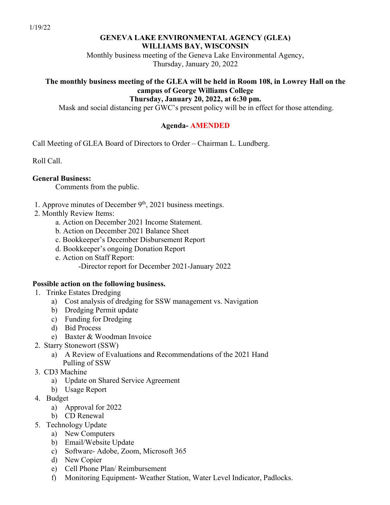### **GENEVA LAKE ENVIRONMENTAL AGENCY (GLEA) WILLIAMS BAY, WISCONSIN**

Monthly business meeting of the Geneva Lake Environmental Agency, Thursday, January 20, 2022

### **The monthly business meeting of the GLEA will be held in Room 108, in Lowrey Hall on the campus of George Williams College Thursday, January 20, 2022, at 6:30 pm.**

Mask and social distancing per GWC's present policy will be in effect for those attending.

# **Agenda- AMENDED**

Call Meeting of GLEA Board of Directors to Order – Chairman L. Lundberg.

Roll Call.

# **General Business:**

Comments from the public.

- 1. Approve minutes of December  $9<sup>th</sup>$ , 2021 business meetings.
- 2. Monthly Review Items:
	- a. Action on December 2021 Income Statement.
	- b. Action on December 2021 Balance Sheet
	- c. Bookkeeper's December Disbursement Report
	- d. Bookkeeper's ongoing Donation Report
	- e. Action on Staff Report:
		- -Director report for December 2021-January 2022

# **Possible action on the following business.**

- 1. Trinke Estates Dredging
	- a) Cost analysis of dredging for SSW management vs. Navigation
	- b) Dredging Permit update
	- c) Funding for Dredging
	- d) Bid Process
	- e) Baxter & Woodman Invoice
- 2. Starry Stonewort (SSW)
	- a) A Review of Evaluations and Recommendations of the 2021 Hand Pulling of SSW
- 3. CD3 Machine
	- a) Update on Shared Service Agreement
	- b) Usage Report
- 4. Budget
	- a) Approval for 2022
	- b) CD Renewal
- 5. Technology Update
	- a) New Computers
	- b) Email/Website Update
	- c) Software- Adobe, Zoom, Microsoft 365
	- d) New Copier
	- e) Cell Phone Plan/ Reimbursement
	- f) Monitoring Equipment- Weather Station, Water Level Indicator, Padlocks.